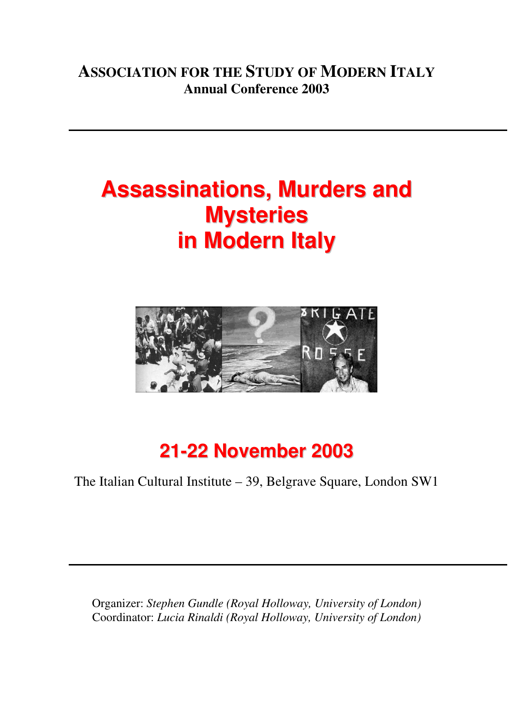## **ASSOCIATION FOR THE STUDY OF MODERN ITALY Annual Conference 2003**

# **Assassinations, Murders and Mysteries in Modern Italy**



## **21-22 November 2003**

The Italian Cultural Institute – 39, Belgrave Square, London SW1

Organizer: *Stephen Gundle (Royal Holloway, University of London)*  Coordinator: *Lucia Rinaldi (Royal Holloway, University of London)*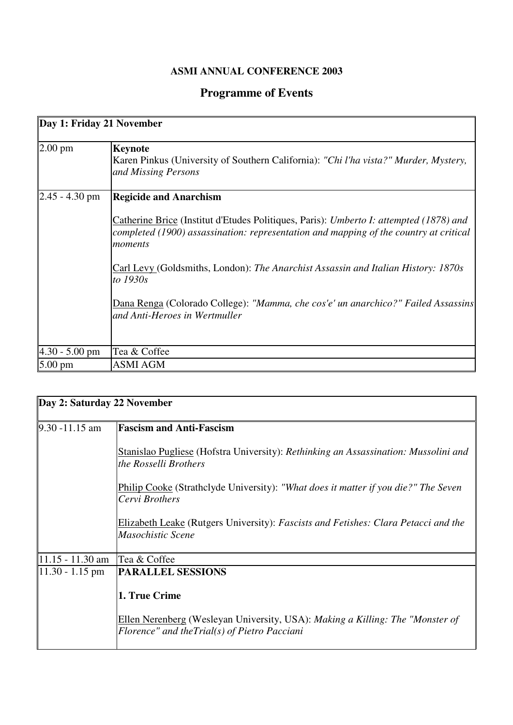#### **ASMI ANNUAL CONFERENCE 2003**

### **Programme of Events**

 $\blacksquare$ 

| Day 1: Friday 21 November |                                                                                                                                                                                            |  |
|---------------------------|--------------------------------------------------------------------------------------------------------------------------------------------------------------------------------------------|--|
| $2.00 \text{ pm}$         | <b>Keynote</b><br>Karen Pinkus (University of Southern California): "Chi l'ha vista?" Murder, Mystery,<br>and Missing Persons                                                              |  |
| $2.45 - 4.30$ pm          | <b>Regicide and Anarchism</b>                                                                                                                                                              |  |
|                           | Catherine Brice (Institut d'Etudes Politiques, Paris): Umberto I: attempted (1878) and<br>completed (1900) assassination: representation and mapping of the country at critical<br>moments |  |
|                           | Carl Levy (Goldsmiths, London): The Anarchist Assassin and Italian History: 1870s<br>to 1930s                                                                                              |  |
|                           | Dana Renga (Colorado College): "Mamma, che cos'e' un anarchico?" Failed Assassins<br>and Anti-Heroes in Wertmuller                                                                         |  |
| $4.30 - 5.00$ pm          | Tea & Coffee                                                                                                                                                                               |  |
| 5.00 pm                   | <b>ASMI AGM</b>                                                                                                                                                                            |  |

| Day 2: Saturday 22 November |                                                                                                                               |  |
|-----------------------------|-------------------------------------------------------------------------------------------------------------------------------|--|
| $9.30 - 11.15$ am           | <b>Fascism and Anti-Fascism</b>                                                                                               |  |
|                             | Stanislao Pugliese (Hofstra University): Rethinking an Assassination: Mussolini and<br>the Rosselli Brothers                  |  |
|                             | <b>Philip Cooke (Strathclyde University):</b> "What does it matter if you die?" The Seven<br>Cervi Brothers                   |  |
|                             | Elizabeth Leake (Rutgers University): Fascists and Fetishes: Clara Petacci and the<br>Masochistic Scene                       |  |
| $11.15 - 11.30$ am          | Tea & Coffee                                                                                                                  |  |
| $11.30 - 1.15$ pm           | <b>PARALLEL SESSIONS</b>                                                                                                      |  |
|                             | 1. True Crime                                                                                                                 |  |
|                             | Ellen Nerenberg (Wesleyan University, USA): Making a Killing: The "Monster of<br>Florence" and theTrial(s) of Pietro Pacciani |  |